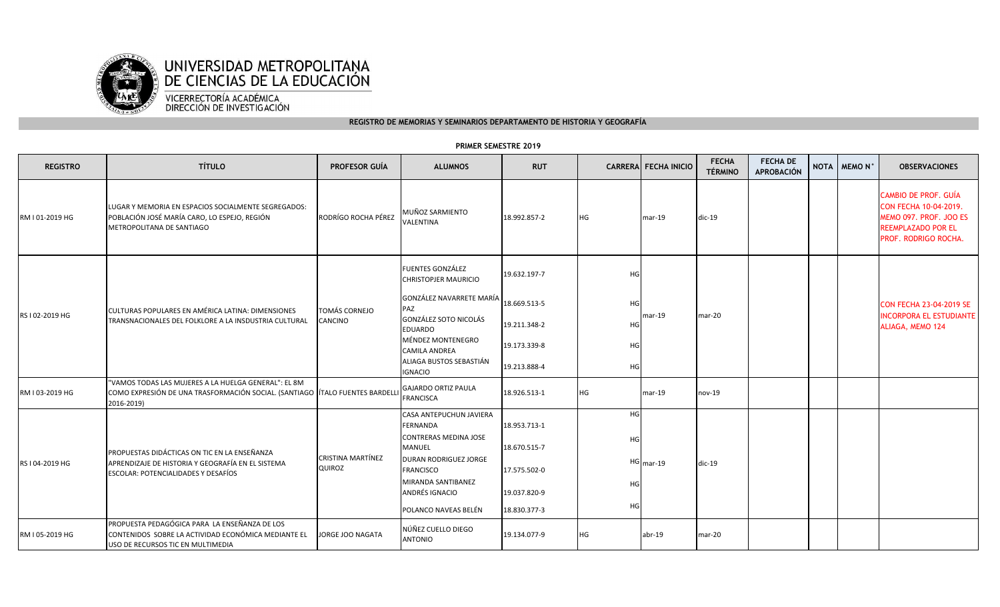

## **REGISTRO DE MEMORIAS Y SEMINARIOS DEPARTAMENTO DE HISTORIA Y GEOGRAFÍA**

## **REGISTRO TÍTULO PROFESOR GUÍA ALUMNOS RUT CARRERA FECHA INICIOCARRERA FECHA INICIO** FECHA **FECHA DE APROBACIÓN NOTA MEMO N° OBSERVACIONES** RM I 01-2019 HGLUGAR Y MEMORIA EN ESPACIOS SOCIALMENTE SEGREGADOS: POBLACIÓN JOSÉ MARÍA CARO, LO ESPEJO, REGIÓN METROPOLITANA DE SANTIAGORODRÍGO ROCHA PÉREZ MUÑOZ SARMIENTO VALENTINA18.992.857-2 HG mar-19 dic-19CAMBIO DE PROF. GUÍA CON FECHA 10-04-2019. MEMO 097. PROF. JOO ES REEMPLAZADO POR EL PROF. RODRIGO ROCHA. FUENTES GONZÁLEZ CHRISTOPJER MAURICIO19.632.197-7 HGGONZÁLEZ NAVARRETE MARÍA PAZ GONZÁLEZ SOTO NICOLÁS 18.669.513-5 HGEDUARDO MÉNDEZ MONTENEGRO 19.211.348-2 HGCAMILA ANDREA ALIAGA BUSTOS SEBASTIÁN 19.173.339-8 HGIGNACIO19.213.888-4 HGRM I 03-2019 HG"VAMOS TODAS LAS MUJERES A LA HUELGA GENERAL": EL 8M COMO EXPRESIÓN DE UNA TRASFORMACIÓN SOCIAL. (SANTIAGO ÍTALO FUENTES BARDELLI2016-2019) GAJARDO ORTIZ PAULA FRANCISCA18.926.513-1 HG mar-19 nov-19CASA ANTEPUCHUN JAVIERA FERNANDA 18.953.713-1HGCONTRERAS MEDINA JOSÉ MANUEL 18.670.515-7 HGDURÁN RODRÍGUEZ JORGE FRANCISCO 17.575.502-0HG <sub>mar-19</sub> MIRANDA SANTIBÁÑEZ ANDRÉS IGNACIO 19.037.820-9HGPOLANCO NAVEAS BELÉN 18.830.377-33 HG RM I 05-2019 HGPROPUESTA PEDAGÓGICA PARA LA ENSEÑANZA DE LOS CONTENIDOS SOBRE LA ACTIVIDAD ECONÓMICA MEDIANTE EL USO DE RECURSOS TIC EN MULTIMEDIAJORGE JOO NAGATANÚÑEZ CUELLO DIEGO ANTONIO19.134.077-9 HG abr-19 mar-20RS I 04-2019 HGG APRENDIZAJE DE HISTORIA Y GEOGRAFÍA EN EL SISTEMA ANALO DE CRISTINA MARTÍNEZ DURÁN RODRÍGUEZ JORGE A APRENDIZAJE DE HISTORIA HOMAN ANALO 17 ETA ANALO 17 ETA EN 2009 A APRENDIZAJE DE HISTORIA DEL SISTEMA ANALO DE DE ANALO QUIROZPROPUESTAS DIDÁCTICAS ON TIC EN LA ENSEÑANZA ESCOLAR: POTENCIALIDADES Y DESAFÍOSRS I 02-2019 HGCULTURAS POPULARES EN AMÉRICA LATINA: DIMENSIONES TRANSNACIONALES DEL FOLKLORE A LA INSDUSTRIA CULTURALTOMÁS CORNEJO CANCINOmar-19 mar-20CON FECHA 23-04-2019 SE INCORPORA EL ESTUDIANTE ALIAGA, MEMO 124

## **PRIMER SEMESTRE 2019**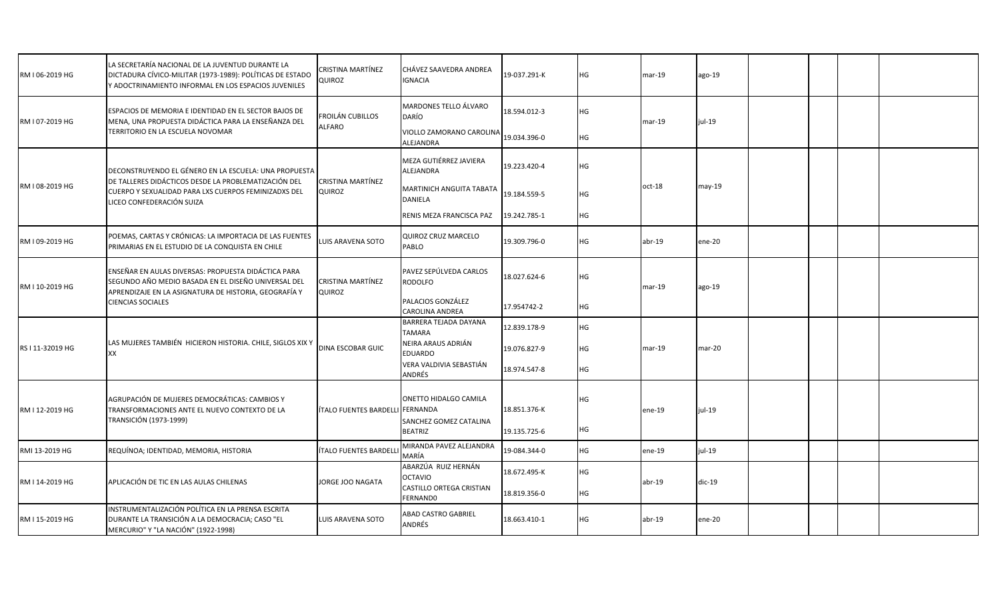| RM I 06-2019 HG  | LA SECRETARÍA NACIONAL DE LA JUVENTUD DURANTE LA<br>DICTADURA CÍVICO-MILITAR (1973-1989): POLÍTICAS DE ESTADO<br>Y ADOCTRINAMIENTO INFORMAL EN LOS ESPACIOS JUVENILES                              | CRISTINA MARTÍNEZ<br>QUIROZ     | CHÁVEZ SAAVEDRA ANDREA<br><b>IGNACIA</b>    | 19-037.291-K | НG | $mar-19$ | ago-19   |  |  |  |
|------------------|----------------------------------------------------------------------------------------------------------------------------------------------------------------------------------------------------|---------------------------------|---------------------------------------------|--------------|----|----------|----------|--|--|--|
| RM I 07-2019 HG  | ESPACIOS DE MEMORIA E IDENTIDAD EN EL SECTOR BAJOS DE<br>MENA, UNA PROPUESTA DIDÁCTICA PARA LA ENSEÑANZA DEL<br>TERRITORIO EN LA ESCUELA NOVOMAR                                                   | FROILÁN CUBILLOS<br>ALFARO      | MARDONES TELLO ÁLVARO<br>DARÍO              | 18.594.012-3 | HG | $mar-19$ | jul-19   |  |  |  |
|                  |                                                                                                                                                                                                    |                                 | VIOLLO ZAMORANO CAROLINA<br>ALEJANDRA       | 19.034.396-0 | HG |          |          |  |  |  |
| RM I 08-2019 HG  | DECONSTRUYENDO EL GÉNERO EN LA ESCUELA: UNA PROPUESTA<br>DE TALLERES DIDÁCTICOS DESDE LA PROBLEMATIZACIÓN DEL<br>CUERPO Y SEXUALIDAD PARA LXS CUERPOS FEMINIZADXS DEL<br>LICEO CONFEDERACIÓN SUIZA | CRISTINA MARTÍNEZ<br>QUIROZ     | MEZA GUTIÉRREZ JAVIERA<br>ALEJANDRA         | 19.223.420-4 | HG | oct-18   | may-19   |  |  |  |
|                  |                                                                                                                                                                                                    |                                 | MARTINICH ANGUITA TABATA<br>DANIELA         | 19.184.559-5 | НG |          |          |  |  |  |
|                  |                                                                                                                                                                                                    |                                 | RENIS MEZA FRANCISCA PAZ                    | 19.242.785-1 | HG |          |          |  |  |  |
| RM I 09-2019 HG  | POEMAS, CARTAS Y CRÓNICAS: LA IMPORTACIA DE LAS FUENTES<br>PRIMARIAS EN EL ESTUDIO DE LA CONQUISTA EN CHILE                                                                                        | <b>LUIS ARAVENA SOTO</b>        | QUIROZ CRUZ MARCELO<br>PABLO                | 19.309.796-0 | HG | $abr-19$ | ene-20   |  |  |  |
| RM I 10-2019 HG  | ENSEÑAR EN AULAS DIVERSAS: PROPUESTA DIDÁCTICA PARA<br>SEGUNDO AÑO MEDIO BASADA EN EL DISEÑO UNIVERSAL DEL<br>APRENDIZAJE EN LA ASIGNATURA DE HISTORIA, GEOGRAFÍA Y<br><b>CIENCIAS SOCIALES</b>    | CRISTINA MARTÍNEZ<br>QUIROZ     | PAVEZ SEPÚLVEDA CARLOS<br><b>RODOLFO</b>    | 18.027.624-6 | НG | $mar-19$ | ago-19   |  |  |  |
|                  |                                                                                                                                                                                                    |                                 | PALACIOS GONZÁLEZ<br><b>CAROLINA ANDREA</b> | 17.954742-2  | HG |          |          |  |  |  |
| RS I 11-32019 HG | LAS MUJERES TAMBIÉN HICIERON HISTORIA. CHILE, SIGLOS XIX Y<br>XX                                                                                                                                   | <b>DINA ESCOBAR GUIC</b>        | BARRERA TEJADA DAYANA<br><b>TAMARA</b>      | 12.839.178-9 | HG | $mar-19$ | $mar-20$ |  |  |  |
|                  |                                                                                                                                                                                                    |                                 | NEIRA ARAUS ADRIÁN<br><b>EDUARDO</b>        | 19.076.827-9 | HG |          |          |  |  |  |
|                  |                                                                                                                                                                                                    |                                 | VERA VALDIVIA SEBASTIÁN<br>ANDRÉS           | 18.974.547-8 | HG |          |          |  |  |  |
| RM I 12-2019 HG  | AGRUPACIÓN DE MUJERES DEMOCRÁTICAS: CAMBIOS Y<br>TRANSFORMACIONES ANTE EL NUEVO CONTEXTO DE LA<br>TRANSICIÓN (1973-1999)                                                                           | ÍTALO FUENTES BARDELLI FERNANDA | ONETTO HIDALGO CAMILA                       | 18.851.376-K | HG | ene-19   | $iul-19$ |  |  |  |
|                  |                                                                                                                                                                                                    |                                 | SÁNCHEZ GÓMEZ CATALINA<br><b>BEATRIZ</b>    | 19.135.725-6 | НG |          |          |  |  |  |
| RMI 13-2019 HG   | REQUÍNOA; IDENTIDAD, MEMORIA, HISTORIA                                                                                                                                                             | ÍTALO FUENTES BARDELI           | MIRANDA PAVEZ ALEJANDRA<br>MARÍA            | 19-084.344-0 | HG | $ene-19$ | jul-19   |  |  |  |
| RM I 14-2019 HG  | APLICACIÓN DE TIC EN LAS AULAS CHILENAS                                                                                                                                                            | <b>JORGE JOO NAGATA</b>         | ABARZÚA RUIZ HERNÁN<br><b>OCTAVIO</b>       | 18.672.495-K | HG | $abr-19$ | $dic-19$ |  |  |  |
|                  |                                                                                                                                                                                                    |                                 | CASTILLO ORTEGA CRISTIAN<br>FERNAND0        | 18.819.356-0 | HG |          |          |  |  |  |
| RM I 15-2019 HG  | INSTRUMENTALIZACIÓN POLÍTICA EN LA PRENSA ESCRITA<br>DURANTE LA TRANSICIÓN A LA DEMOCRACIA; CASO "EL<br>MERCURIO" Y "LA NACIÓN" (1922-1998)                                                        | LUIS ARAVENA SOTO               | ABAD CASTRO GABRIEL<br>ANDRÉS               | 18.663.410-1 | HG | $abr-19$ | ene-20   |  |  |  |